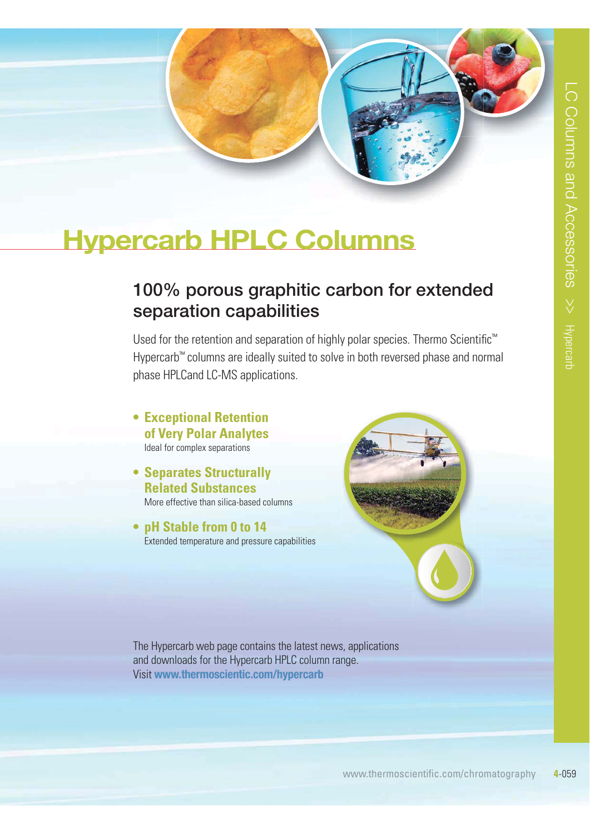

# **Hypercarb HPLC Columns**

# **100% porous graphitic carbon for extended separation capabilities**

Used for the retention and separation of highly polar species. Thermo Scientific<sup>™</sup> Hypercarb™ columns are ideally suited to solve in both reversed phase and normal phase HPLCand LC-MS applications.

- **Exceptional Retention of Very Polar Analytes** Ideal for complex separations
- **Separates Structurally Related Substances** More effective than silica-based columns
- **pH** Stable from 0 to 14 Extended temperature and pressure capabilities



The Hypercarb web page contains the latest news, applications and downloads for the Hypercarb HPLC column range. Visit **www.thermoscientic.com/hypercarb**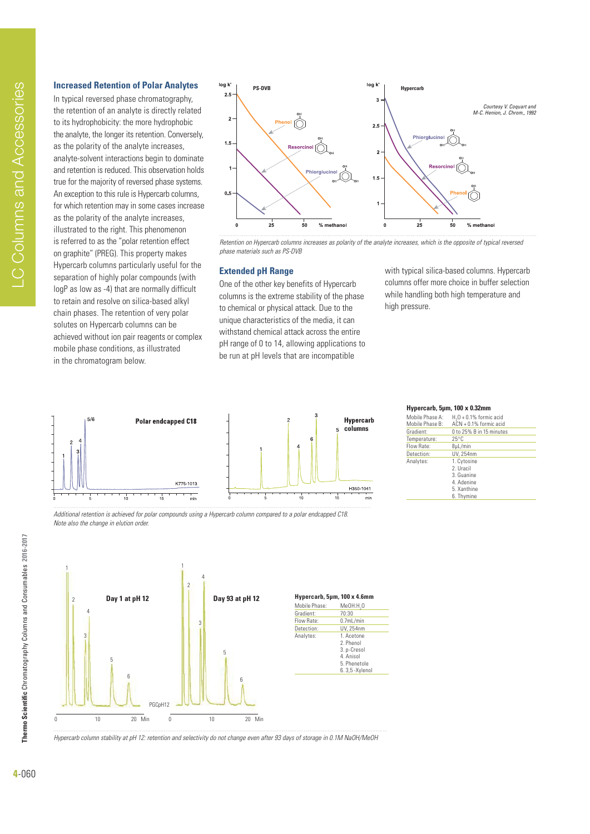### **Increased Retention of Polar Analytes**

In typical reversed phase chromatography, the retention of an analyte is directly related to its hydrophobicity: the more hydrophobic the analyte, the longer its retention. Conversely, as the polarity of the analyte increases, analyte-solvent interactions begin to dominate and retention is reduced. This observation holds true for the majority of reversed phase systems. An exception to this rule is Hypercarb columns, for which retention may in some cases increase as the polarity of the analyte increases, illustrated to the right. This phenomenon is referred to as the "polar retention effect on graphite" (PREG). This property makes Hypercarb columns particularly useful for the separation of highly polar compounds (with logP as low as -4) that are normally difficult to retain and resolve on silica-based alkyl chain phases. The retention of very polar solutes on Hypercarb columns can be achieved without ion pair reagents or complex mobile phase conditions, as illustrated in the chromatogram below.



Retention on Hypercarb columns increases as polarity of the analyte increases, which is the opposite of typical reversed phase materials such as PS-DVB

#### **Extended pH Range**

One of the other key benefits of Hypercarb columns is the extreme stability of the phase to chemical or physical attack. Due to the unique characteristics of the media, it can withstand chemical attack across the entire pH range of 0 to 14, allowing applications to be run at pH levels that are incompatible

with typical silica-based columns. Hypercarb columns offer more choice in buffer selection while handling both high temperature and high pressure.



#### **Hypercarb, 5µm, 100 x 0.32mm**

| Mobile Phase A: | $H20 + 0.1%$ formic acid |
|-----------------|--------------------------|
| Mobile Phase B: | $ACN + 0.1%$ formic acid |
| Gradient:       | 0 to 25% B in 15 minutes |
| Temperature:    | $25^{\circ}$ C           |
| Flow Rate:      | 8µL/min                  |
| Detection:      | UV. 254nm                |
| Analytes:       | 1. Cytosine              |
|                 | 2. Uracil                |
|                 | 3. Guanine               |
|                 | 4. Adenine               |
|                 | 5. Xanthine              |
|                 | 6. Thymine               |

Additional retention is achieved for polar compounds using a Hypercarb column compared to a polar endcapped C18. Note also the change in elution order.



Hypercarb column stability at pH 12: retention and selectivity do not change even after 93 days of storage in 0.1M NaOH/MeOH